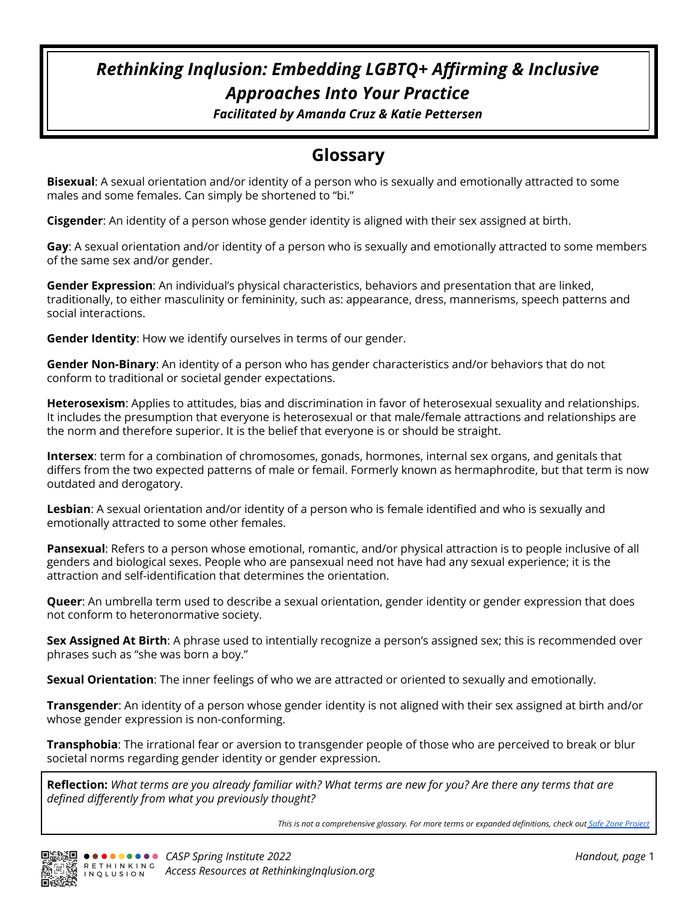# *Rethinking Inqlusion: Embedding LGBTQ+ Affirming & Inclusive Approaches Into Your Practice*

*Facilitated by Amanda Cruz & Katie Pettersen*

## **Glossary**

**Bisexual**: A sexual orientation and/or identity of a person who is sexually and emotionally attracted to some males and some females. Can simply be shortened to "bi."

**Cisgender**: An identity of a person whose gender identity is aligned with their sex assigned at birth.

**Gay**: A sexual orientation and/or identity of a person who is sexually and emotionally attracted to some members of the same sex and/or gender.

**Gender Expression**: An individual's physical characteristics, behaviors and presentation that are linked, traditionally, to either masculinity or femininity, such as: appearance, dress, mannerisms, speech patterns and social interactions.

**Gender Identity**: How we identify ourselves in terms of our gender.

**Gender Non-Binary**: An identity of a person who has gender characteristics and/or behaviors that do not conform to traditional or societal gender expectations.

**Heterosexism**: Applies to attitudes, bias and discrimination in favor of heterosexual sexuality and relationships. It includes the presumption that everyone is heterosexual or that male/female attractions and relationships are the norm and therefore superior. It is the belief that everyone is or should be straight.

**Intersex**: term for a combination of chromosomes, gonads, hormones, internal sex organs, and genitals that differs from the two expected patterns of male or femail. Formerly known as hermaphrodite, but that term is now outdated and derogatory.

**Lesbian**: A sexual orientation and/or identity of a person who is female identified and who is sexually and emotionally attracted to some other females.

**Pansexual**: Refers to a person whose emotional, romantic, and/or physical attraction is to people inclusive of all genders and biological sexes. People who are pansexual need not have had any sexual experience; it is the attraction and self-identification that determines the orientation.

**Queer**: An umbrella term used to describe a sexual orientation, gender identity or gender expression that does not conform to heteronormative society.

**Sex Assigned At Birth**: A phrase used to intentially recognize a person's assigned sex; this is recommended over phrases such as "she was born a boy."

**Sexual Orientation**: The inner feelings of who we are attracted or oriented to sexually and emotionally.

**Transgender**: An identity of a person whose gender identity is not aligned with their sex assigned at birth and/or whose gender expression is non-conforming.

**Transphobia**: The irrational fear or aversion to transgender people of those who are perceived to break or blur societal norms regarding gender identity or gender expression.

Reflection: What terms are you already familiar with? What terms are new for you? Are there any terms that are *defined differently from what you previously thought?*

*This is not a comprehensive glossary. For more terms or expanded definitions, check out Safe Zone [Project](https://thesafezoneproject.com/resources/vocabulary/)*

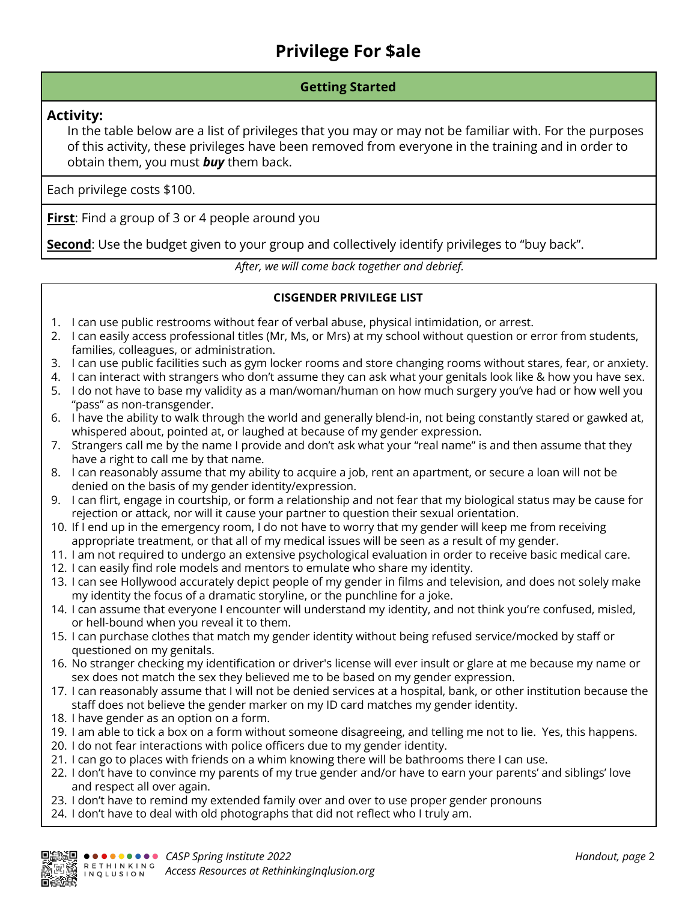# **Privilege For \$ale**

### **Getting Started**

### **Activity:**

In the table below are a list of privileges that you may or may not be familiar with. For the purposes of this activity, these privileges have been removed from everyone in the training and in order to obtain them, you must *buy* them back.

Each privilege costs \$100.

**First:** Find a group of 3 or 4 people around you

**Second**: Use the budget given to your group and collectively identify privileges to "buy back".

*After, we will come back together and debrief.*

### **CISGENDER PRIVILEGE LIST**

- 1. I can use public restrooms without fear of verbal abuse, physical intimidation, or arrest.
- 2. I can easily access professional titles (Mr, Ms, or Mrs) at my school without question or error from students, families, colleagues, or administration.
- 3. I can use public facilities such as gym locker rooms and store changing rooms without stares, fear, or anxiety.
- 4. I can interact with strangers who don't assume they can ask what your genitals look like & how you have sex.
- 5. I do not have to base my validity as a man/woman/human on how much surgery you've had or how well you "pass" as non-transgender.
- 6. I have the ability to walk through the world and generally blend-in, not being constantly stared or gawked at, whispered about, pointed at, or laughed at because of my gender expression.
- 7. Strangers call me by the name I provide and don't ask what your "real name" is and then assume that they have a right to call me by that name.
- 8. I can reasonably assume that my ability to acquire a job, rent an apartment, or secure a loan will not be denied on the basis of my gender identity/expression.
- 9. I can flirt, engage in courtship, or form a relationship and not fear that my biological status may be cause for rejection or attack, nor will it cause your partner to question their sexual orientation.
- 10. If I end up in the emergency room, I do not have to worry that my gender will keep me from receiving appropriate treatment, or that all of my medical issues will be seen as a result of my gender.
- 11. I am not required to undergo an extensive psychological evaluation in order to receive basic medical care.
- 12. I can easily find role models and mentors to emulate who share my identity.
- 13. I can see Hollywood accurately depict people of my gender in films and television, and does not solely make my identity the focus of a dramatic storyline, or the punchline for a joke.
- 14. I can assume that everyone I encounter will understand my identity, and not think you're confused, misled, or hell-bound when you reveal it to them.
- 15. I can purchase clothes that match my gender identity without being refused service/mocked by staff or questioned on my genitals.
- 16. No stranger checking my identification or driver's license will ever insult or glare at me because my name or sex does not match the sex they believed me to be based on my gender expression.
- 17. I can reasonably assume that I will not be denied services at a hospital, bank, or other institution because the staff does not believe the gender marker on my ID card matches my gender identity.
- 18. I have gender as an option on a form.
- 19. I am able to tick a box on a form without someone disagreeing, and telling me not to lie. Yes, this happens.
- 20. I do not fear interactions with police officers due to my gender identity.
- 21. I can go to places with friends on a whim knowing there will be bathrooms there I can use.
- 22. I don't have to convince my parents of my true gender and/or have to earn your parents' and siblings' love and respect all over again.
- 23. I don't have to remind my extended family over and over to use proper gender pronouns
- 24. I don't have to deal with old photographs that did not reflect who I truly am.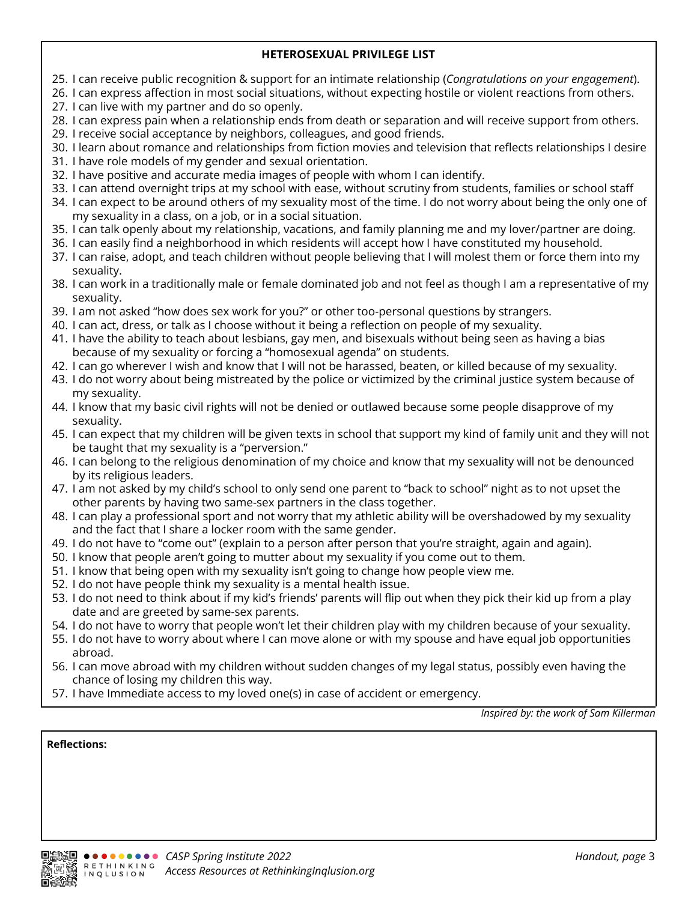### **HETEROSEXUAL PRIVILEGE LIST**

- 25. I can receive public recognition & support for an intimate relationship (*Congratulations on your engagement*).
- 26. I can express affection in most social situations, without expecting hostile or violent reactions from others.
- 27. I can live with my partner and do so openly.
- 28. I can express pain when a relationship ends from death or separation and will receive support from others.
- 29. I receive social acceptance by neighbors, colleagues, and good friends.
- 30. I learn about romance and relationships from fiction movies and television that reflects relationships I desire
- 31. I have role models of my gender and sexual orientation.
- 32. I have positive and accurate media images of people with whom I can identify.
- 33. I can attend overnight trips at my school with ease, without scrutiny from students, families or school staff
- 34. I can expect to be around others of my sexuality most of the time. I do not worry about being the only one of my sexuality in a class, on a job, or in a social situation.
- 35. I can talk openly about my relationship, vacations, and family planning me and my lover/partner are doing.
- 36. I can easily find a neighborhood in which residents will accept how I have constituted my household.
- 37. I can raise, adopt, and teach children without people believing that I will molest them or force them into my sexuality.
- 38. I can work in a traditionally male or female dominated job and not feel as though I am a representative of my sexuality.
- 39. I am not asked "how does sex work for you?" or other too-personal questions by strangers.
- 40. I can act, dress, or talk as I choose without it being a reflection on people of my sexuality.
- 41. I have the ability to teach about lesbians, gay men, and bisexuals without being seen as having a bias because of my sexuality or forcing a "homosexual agenda" on students.
- 42. I can go wherever I wish and know that I will not be harassed, beaten, or killed because of my sexuality.
- 43. I do not worry about being mistreated by the police or victimized by the criminal justice system because of my sexuality.
- 44. I know that my basic civil rights will not be denied or outlawed because some people disapprove of my sexuality.
- 45. I can expect that my children will be given texts in school that support my kind of family unit and they will not be taught that my sexuality is a "perversion."
- 46. I can belong to the religious denomination of my choice and know that my sexuality will not be denounced by its religious leaders.
- 47. I am not asked by my child's school to only send one parent to "back to school" night as to not upset the other parents by having two same-sex partners in the class together.
- 48. I can play a professional sport and not worry that my athletic ability will be overshadowed by my sexuality and the fact that I share a locker room with the same gender.
- 49. I do not have to "come out" (explain to a person after person that you're straight, again and again).
- 50. I know that people aren't going to mutter about my sexuality if you come out to them.
- 51. I know that being open with my sexuality isn't going to change how people view me.
- 52. I do not have people think my sexuality is a mental health issue.
- 53. I do not need to think about if my kid's friends' parents will flip out when they pick their kid up from a play date and are greeted by same-sex parents.
- 54. I do not have to worry that people won't let their children play with my children because of your sexuality.
- 55. I do not have to worry about where I can move alone or with my spouse and have equal job opportunities abroad.
- 56. I can move abroad with my children without sudden changes of my legal status, possibly even having the chance of losing my children this way.
- 57. I have Immediate access to my loved one(s) in case of accident or emergency.

*Inspired by: the work of Sam Killerman*

### **Reflections:**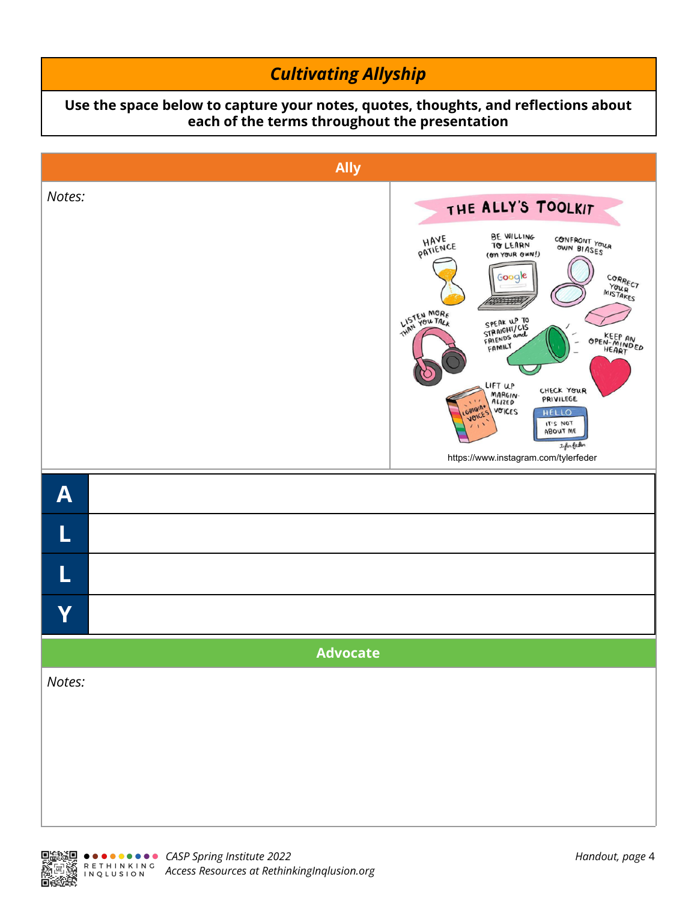# *Cultivating Allyship*

### **Use the space below to capture your notes, quotes, thoughts, and reflections about each of the terms throughout the presentation**



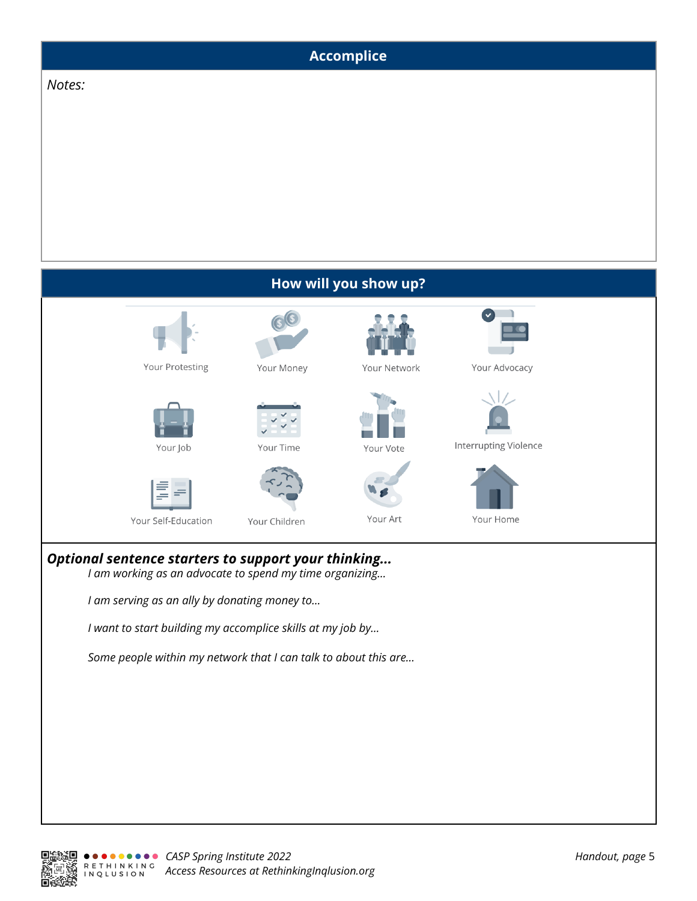

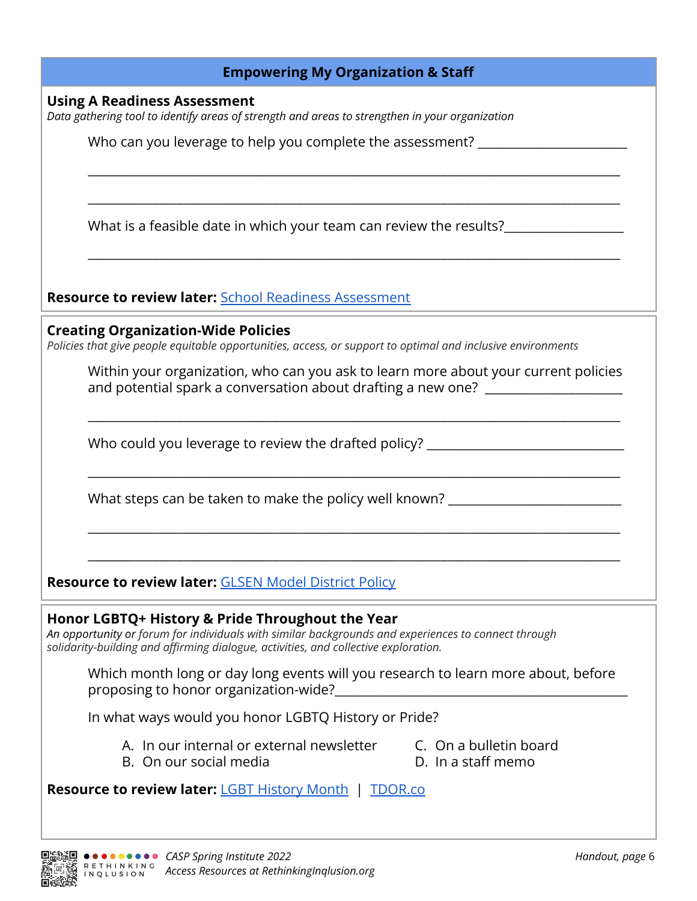| <b>Empowering My Organization &amp; Staff</b>                                                                                                                                                                                                  |                 |
|------------------------------------------------------------------------------------------------------------------------------------------------------------------------------------------------------------------------------------------------|-----------------|
| <b>Using A Readiness Assessment</b>                                                                                                                                                                                                            |                 |
| Data gathering tool to identify areas of strength and areas to strengthen in your organization                                                                                                                                                 |                 |
| Who can you leverage to help you complete the assessment?                                                                                                                                                                                      |                 |
| What is a feasible date in which your team can review the results?                                                                                                                                                                             |                 |
| <b>Resource to review later: School Readiness Assessment</b>                                                                                                                                                                                   |                 |
| <b>Creating Organization-Wide Policies</b><br>Policies that give people equitable opportunities, access, or support to optimal and inclusive environments                                                                                      |                 |
| Within your organization, who can you ask to learn more about your current policies<br>and potential spark a conversation about drafting a new one? ___________________                                                                        |                 |
| Who could you leverage to review the drafted policy?                                                                                                                                                                                           |                 |
| What steps can be taken to make the policy well known?                                                                                                                                                                                         |                 |
| <b>Resource to review later: GLSEN Model District Policy</b>                                                                                                                                                                                   |                 |
| Honor LGBTQ+ History & Pride Throughout the Year<br>An opportunity or forum for individuals with similar backgrounds and experiences to connect through<br>solidarity-building and affirming dialogue, activities, and collective exploration. |                 |
| Which month long or day long events will you research to learn more about, before<br>proposing to honor organization-wide?<br>and the contract of the contract of the contract of the contract of the contract of the contract of the contr    |                 |
| In what ways would you honor LGBTQ History or Pride?                                                                                                                                                                                           |                 |
| A. In our internal or external newsletter<br>C. On a bulletin board<br>D. In a staff memo<br>B. On our social media                                                                                                                            |                 |
| <b>Resource to review later: LGBT History Month   TDOR.co</b>                                                                                                                                                                                  |                 |
| <b>回答题 ●●●●●●●●●●</b> CASP Spring Institute 2022                                                                                                                                                                                               | Handout, page 6 |

*Access Resources at RethinkingInqlusion.org*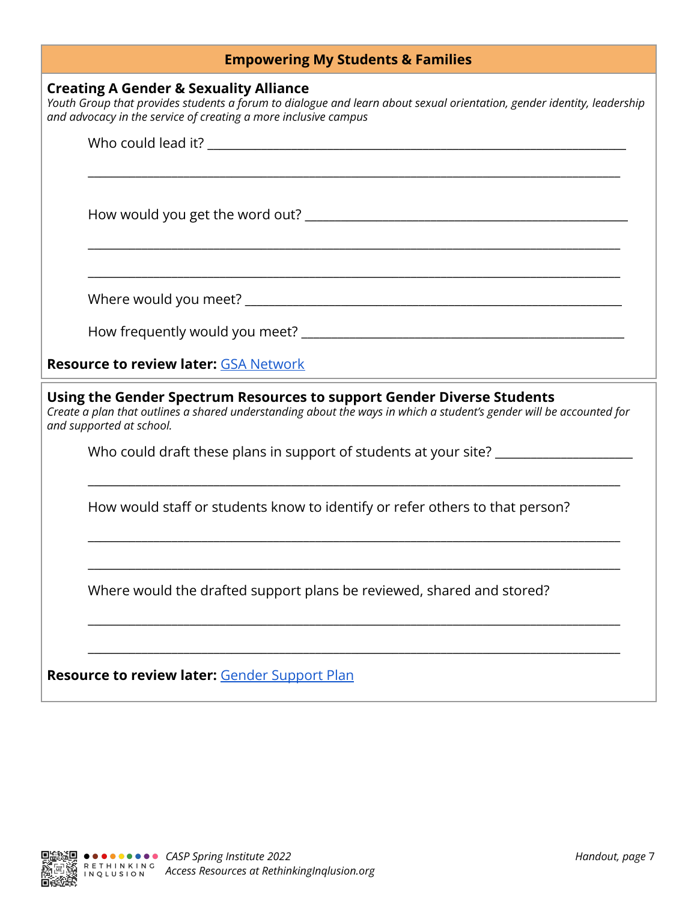## **Empowering My Students & Families**

### **Creating A Gender & Sexuality Alliance**

Youth Group that provides students a forum to dialogue and learn about sexual orientation, gender identity, leadership *and advocacy in the service of creating a more inclusive campus*

| <b>Resource to review later: GSA Network</b>                                                                                                                                                                              |  |  |
|---------------------------------------------------------------------------------------------------------------------------------------------------------------------------------------------------------------------------|--|--|
| Using the Gender Spectrum Resources to support Gender Diverse Students<br>Create a plan that outlines a shared understanding about the ways in which a student's gender will be accounted for<br>and supported at school. |  |  |
| Who could draft these plans in support of students at your site?<br><u> 1989 - Johann Stoff, deutscher Stoff, der Stoff, der Stoff, der Stoff, der Stoff, der Stoff, der Stoff, der S</u>                                 |  |  |
| How would staff or students know to identify or refer others to that person?                                                                                                                                              |  |  |
| Where would the drafted support plans be reviewed, shared and stored?                                                                                                                                                     |  |  |
| Resource to review later: Gender Support Plan                                                                                                                                                                             |  |  |

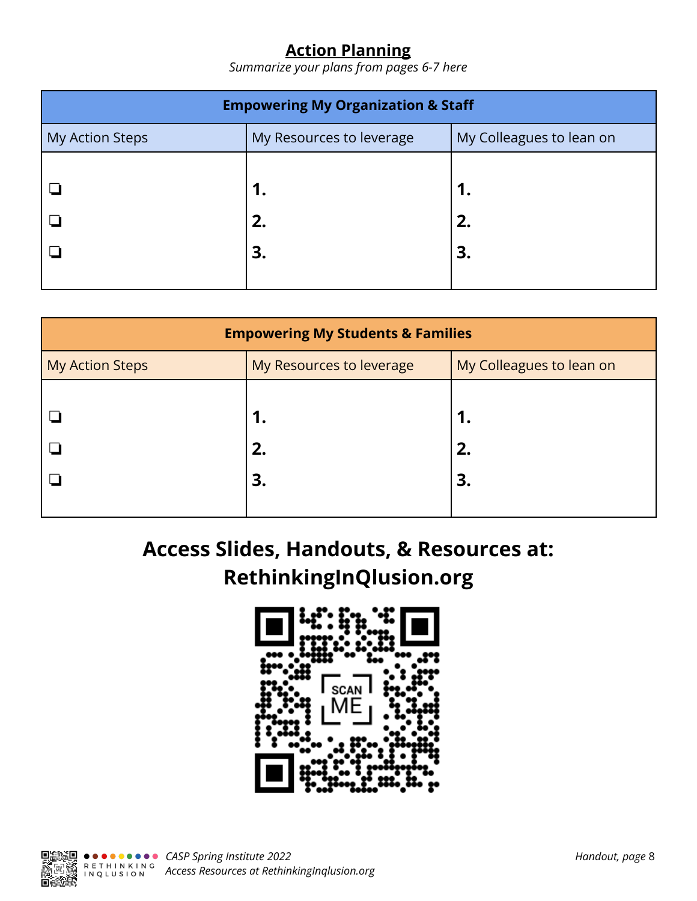## **Action Planning**

*Summarize your plans from pages 6-7 here*

| <b>Empowering My Organization &amp; Staff</b> |                          |                          |  |
|-----------------------------------------------|--------------------------|--------------------------|--|
| My Action Steps                               | My Resources to leverage | My Colleagues to lean on |  |
|                                               | 1.<br>2.                 | 1.<br>2.                 |  |
|                                               | 3.                       | 3.                       |  |

| <b>Empowering My Students &amp; Families</b> |                          |                          |  |
|----------------------------------------------|--------------------------|--------------------------|--|
| <b>My Action Steps</b>                       | My Resources to leverage | My Colleagues to lean on |  |
|                                              | 1.<br>2.<br>3.           | 1.<br>2.<br>3.           |  |
|                                              |                          |                          |  |

**Access Slides, Handouts, & Resources at: RethinkingInQlusion.org**



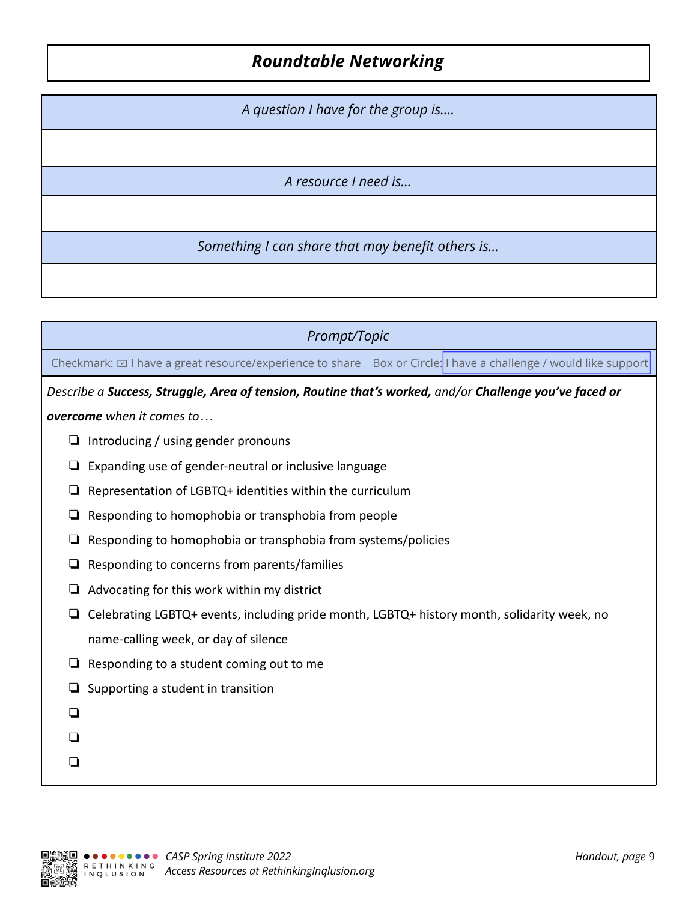## *Roundtable Networking*

*A question I have for the group is….*

*A resource I need is…*

*Something I can share that may benefit others is…*

*Prompt/Topic*

Checkmark:  $\boxtimes$  I have a great resource/experience to share Box or Circle: I have a challenge / would like support

*Describe a Success, Struggle, Area of tension, Routine that's worked, and/or Challenge you've faced or*

*overcome when it comes to…*

- ❏ Introducing / using gender pronouns
- ❏ Expanding use of gender-neutral or inclusive language
- ❏ Representation of LGBTQ+ identities within the curriculum
- ❏ Responding to homophobia or transphobia from people
- ❏ Responding to homophobia or transphobia from systems/policies
- ❏ Responding to concerns from parents/families
- ❏ Advocating for this work within my district
- ❏ Celebrating LGBTQ+ events, including pride month, LGBTQ+ history month, solidarity week, no name-calling week, or day of silence
- ❏ Responding to a student coming out to me
- ❏ Supporting a student in transition
- ❏
- ❏
- ❏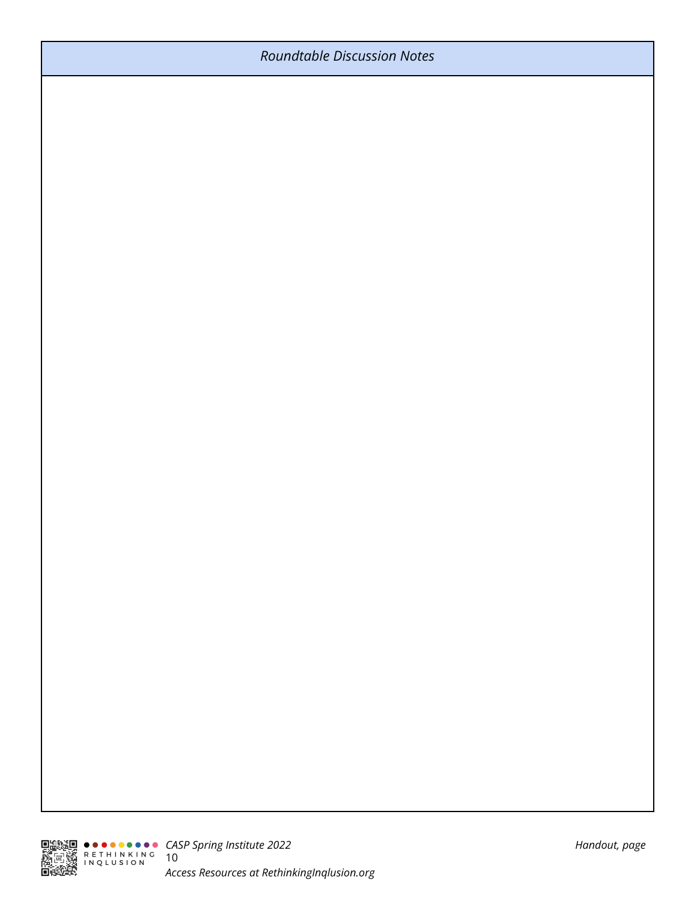## *Roundtable Discussion Notes*

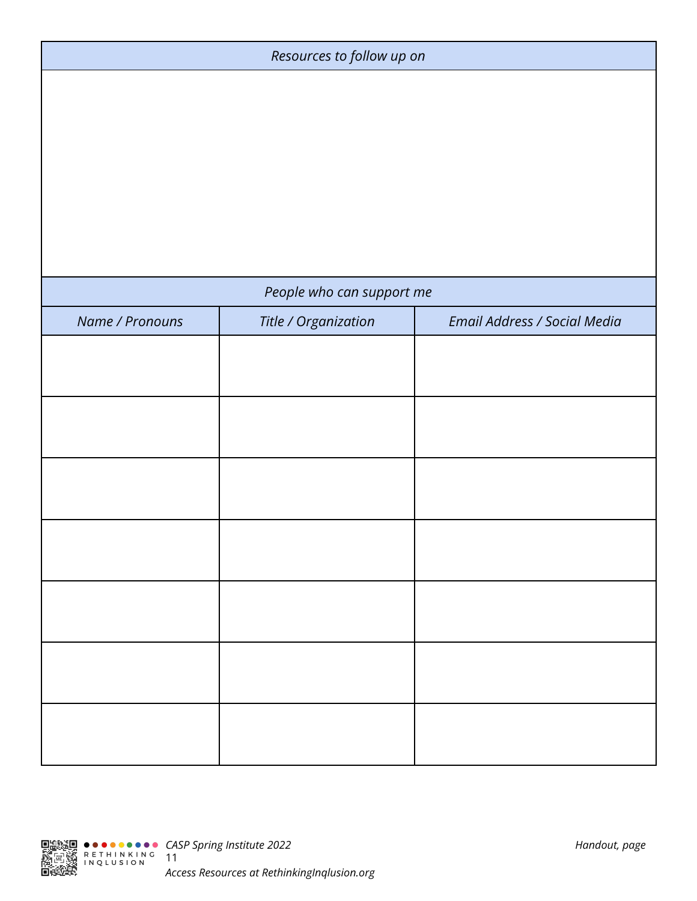| Resources to follow up on |                           |                              |
|---------------------------|---------------------------|------------------------------|
|                           |                           |                              |
|                           |                           |                              |
|                           |                           |                              |
|                           |                           |                              |
|                           |                           |                              |
|                           | People who can support me |                              |
| Name / Pronouns           | Title / Organization      | Email Address / Social Media |
|                           |                           |                              |
|                           |                           |                              |
|                           |                           |                              |
|                           |                           |                              |
|                           |                           |                              |
|                           |                           |                              |
|                           |                           |                              |

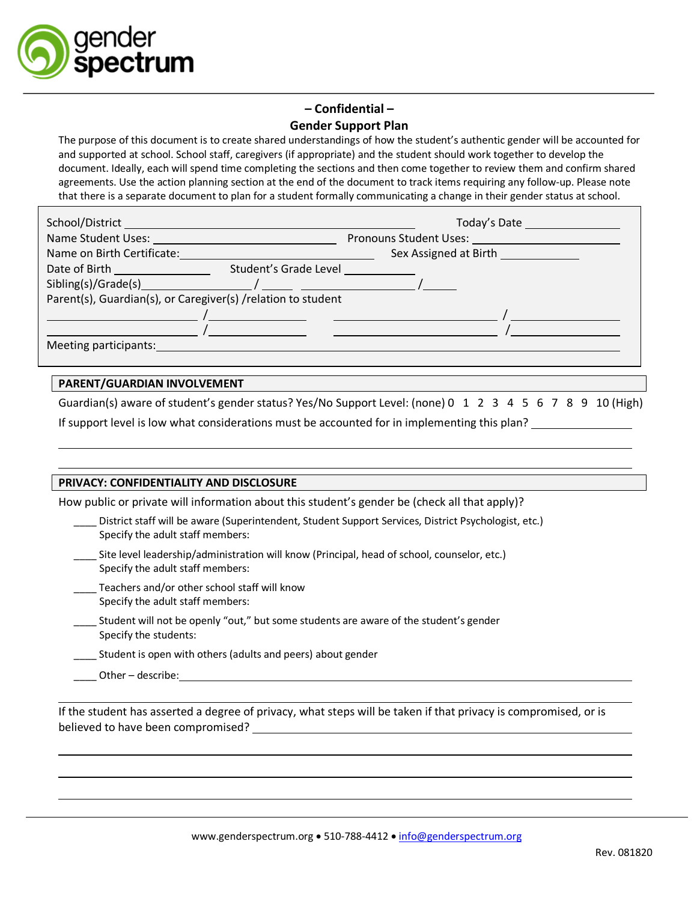

### **– Confidential – Gender Support Plan**

The purpose of this document is to create shared understandings of how the student's authentic gender will be accounted for and supported at school. School staff, caregivers (if appropriate) and the student should work together to develop the document. Ideally, each will spend time completing the sections and then come together to review them and confirm shared agreements. Use the action planning section at the end of the document to track items requiring any follow-up. Please note that there is a separate document to plan for a student formally communicating a change in their gender status at school.

|                                                                                                                                                                                                                                | Today's Date                                         |
|--------------------------------------------------------------------------------------------------------------------------------------------------------------------------------------------------------------------------------|------------------------------------------------------|
| Name Student Uses: Name Student Uses:                                                                                                                                                                                          | <b>Pronouns Student Uses:</b> Pronouns Student Uses: |
| Name on Birth Certificate:                                                                                                                                                                                                     | Sex Assigned at Birth Sex Assigned at Birth          |
| Student's Grade Level<br>Date of Birth <b>Exercise 2018</b>                                                                                                                                                                    |                                                      |
| Sibling(s)/Grade(s) and the state of the state of the state of the state of the state of the state of the state of the state of the state of the state of the state of the state of the state of the state of the state of the |                                                      |
| Parent(s), Guardian(s), or Caregiver(s) / relation to student                                                                                                                                                                  |                                                      |
|                                                                                                                                                                                                                                |                                                      |
|                                                                                                                                                                                                                                |                                                      |
| Meeting participants:                                                                                                                                                                                                          |                                                      |

### **PARENT/GUARDIAN INVOLVEMENT**

Guardian(s) aware of student's gender status? Yes/No Support Level: (none) 0 1 2 3 4 5 6 7 8 9 10 (High) If support level is low what considerations must be accounted for in implementing this plan?

#### **PRIVACY: CONFIDENTIALITY AND DISCLOSURE**

How public or private will information about this student's gender be (check all that apply)?

| District staff will be aware (Superintendent, Student Support Services, District Psychologist, etc.) |
|------------------------------------------------------------------------------------------------------|
| Specify the adult staff members:                                                                     |

- Site level leadership/administration will know (Principal, head of school, counselor, etc.) Specify the adult staff members:
- Teachers and/or other school staff will know Specify the adult staff members:
- Student will not be openly "out," but some students are aware of the student's gender Specify the students:
- Student is open with others (adults and peers) about gender
- Other describe:

If the student has asserted a degree of privacy, what steps will be taken if that privacy is compromised, or is believed to have been compromised?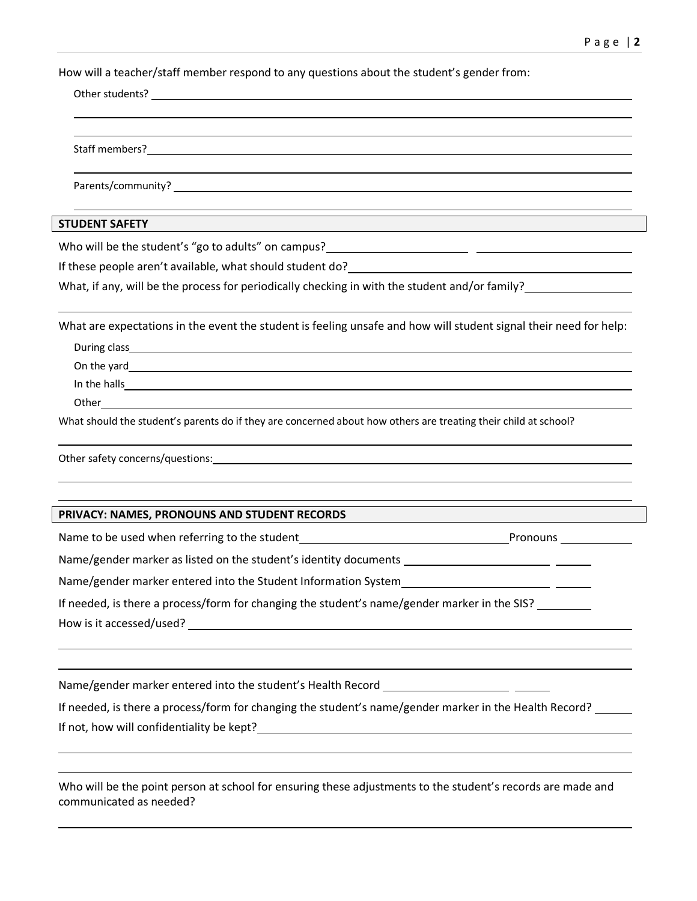How will a teacher/staff member respond to any questions about the student's gender from:

| <b>STUDENT SAFETY</b>                                                                                                                                                                                                                |
|--------------------------------------------------------------------------------------------------------------------------------------------------------------------------------------------------------------------------------------|
|                                                                                                                                                                                                                                      |
|                                                                                                                                                                                                                                      |
| What, if any, will be the process for periodically checking in with the student and/or family?                                                                                                                                       |
| What are expectations in the event the student is feeling unsafe and how will student signal their need for help:                                                                                                                    |
|                                                                                                                                                                                                                                      |
|                                                                                                                                                                                                                                      |
| In the halls <b>expansion of the contract of the contract of the contract of the contract of the contract of the contract of the contract of the contract of the contract of the contract of the contract of the contract of the</b> |
|                                                                                                                                                                                                                                      |
| What should the student's parents do if they are concerned about how others are treating their child at school?                                                                                                                      |
| Other safety concerns/questions: example and a series of the same state of the same state of the same state of                                                                                                                       |
| PRIVACY: NAMES, PRONOUNS AND STUDENT RECORDS                                                                                                                                                                                         |
| Name to be used when referring to the student<br>Mame to be used when referring to the student<br>Mame The Mame Line of Pronouns  2010                                                                                               |
|                                                                                                                                                                                                                                      |
| Name/gender marker entered into the Student Information System                                                                                                                                                                       |
| If needed, is there a process/form for changing the student's name/gender marker in the SIS?                                                                                                                                         |
|                                                                                                                                                                                                                                      |
| Name/gender marker entered into the student's Health Record _                                                                                                                                                                        |

If needed, is there a process/form for changing the student's name/gender marker in the Health Record? \_\_\_\_\_\_ If not, how will confidentiality be kept?

Who will be the point person at school for ensuring these adjustments to the student's records are made and communicated as needed?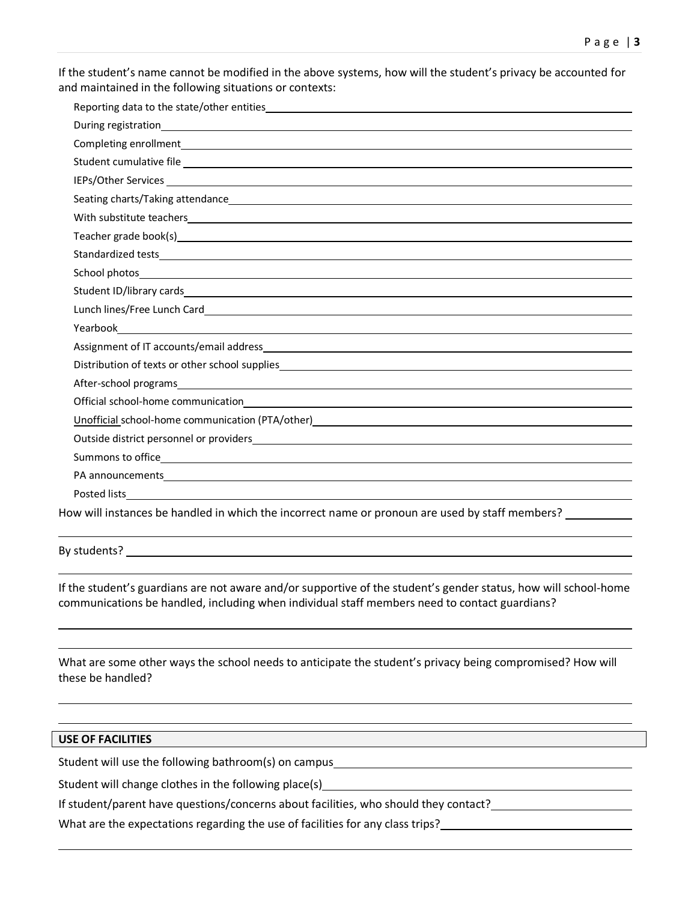If the student's name cannot be modified in the above systems, how will the student's privacy be accounted for and maintained in the following situations or contexts:

| Student cumulative file expression and the contract of the contract of the contract of the contract of the contract of the contract of the contract of the contract of the contract of the contract of the contract of the con       |
|--------------------------------------------------------------------------------------------------------------------------------------------------------------------------------------------------------------------------------------|
| IEPs/Other Services <b>Executive Services</b> and the service of the service of the service of the services of the services of the service of the services of the service of the service of the service of the service of the servi  |
|                                                                                                                                                                                                                                      |
|                                                                                                                                                                                                                                      |
| Teacher grade book(s) experience and the set of the set of the set of the set of the set of the set of the set of the set of the set of the set of the set of the set of the set of the set of the set of the set of the set o       |
|                                                                                                                                                                                                                                      |
|                                                                                                                                                                                                                                      |
|                                                                                                                                                                                                                                      |
|                                                                                                                                                                                                                                      |
| <b>The Second Contract of the Contract Contract Contract Contract Contract Contract Contract Contract Contract Contract Contract Contract Contract Contract Contract Contract Contract Contract Contract Contract Contract Contr</b> |
|                                                                                                                                                                                                                                      |
| Distribution of texts or other school supplies___________________________________                                                                                                                                                    |
|                                                                                                                                                                                                                                      |
|                                                                                                                                                                                                                                      |
| Unofficial school-home communication (PTA/other)<br>Unofficial school-home communication (PTA/other)                                                                                                                                 |
|                                                                                                                                                                                                                                      |
|                                                                                                                                                                                                                                      |
| PA announcements experience and the contract of the contract of the contract of the contract of the contract of                                                                                                                      |
|                                                                                                                                                                                                                                      |
| How will instances be handled in which the incorrect name or pronoun are used by staff members?                                                                                                                                      |

By students? Note that the students?

If the student's guardians are not aware and/or supportive of the student's gender status, how will school-home communications be handled, including when individual staff members need to contact guardians?

What are some other ways the school needs to anticipate the student's privacy being compromised? How will these be handled?

#### **USE OF FACILITIES**

Student will use the following bathroom(s) on campus<br>
Student will use the following bathroom(s) on campus<br>
Student Manager and Manager and Manager and Manager and Manager and Manager and Manager and Manager and Manager

Student will change clothes in the following place(s)

If student/parent have questions/concerns about facilities, who should they contact?

What are the expectations regarding the use of facilities for any class trips?<br>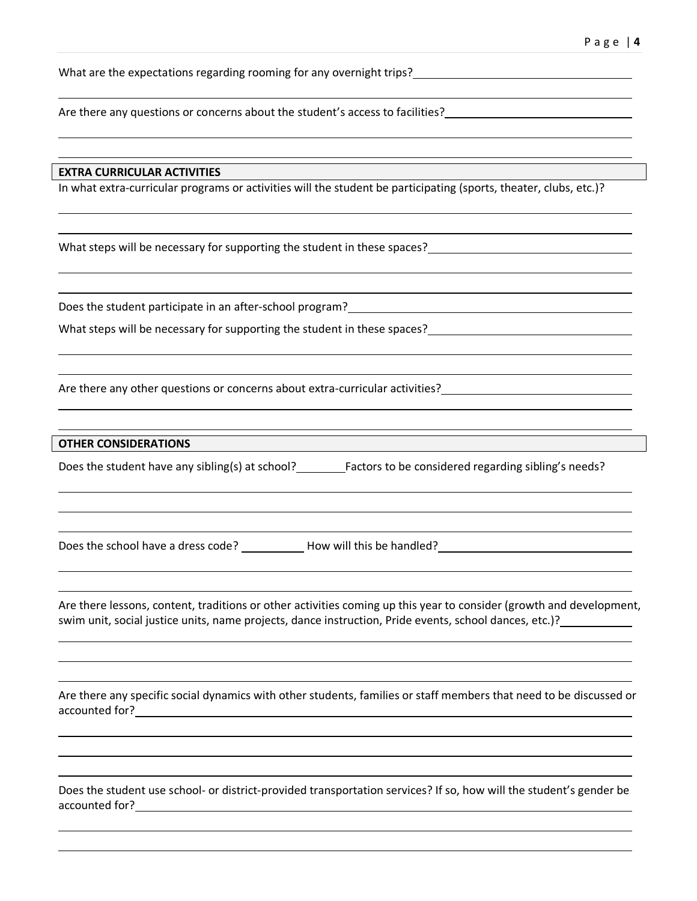What are the expectations regarding rooming for any overnight trips?<br>

Are there any questions or concerns about the student's access to facilities?

#### **EXTRA CURRICULAR ACTIVITIES**

In what extra-curricular programs or activities will the student be participating (sports, theater, clubs, etc.)?

What steps will be necessary for supporting the student in these spaces? The summary state of the state of the state of the state of the state of the state of the state of the state of the state of the state of the state o

Does the student participate in an after-school program?

What steps will be necessary for supporting the student in these spaces?

Are there any other questions or concerns about extra-curricular activities?<br>

#### **OTHER CONSIDERATIONS**

Does the student have any sibling(s) at school? Factors to be considered regarding sibling's needs?

Does the school have a dress code? \_\_\_\_\_\_\_\_\_\_\_\_\_ How will this be handled? \_\_\_\_\_\_\_\_\_\_\_\_\_\_\_\_\_\_\_\_\_\_\_\_\_\_\_\_\_\_\_\_\_\_\_

Are there lessons, content, traditions or other activities coming up this year to consider (growth and development, swim unit, social justice units, name projects, dance instruction, Pride events, school dances, etc.)?

Are there any specific social dynamics with other students, families or staff members that need to be discussed or accounted for?

Does the student use school- or district-provided transportation services? If so, how will the student's gender be accounted for?